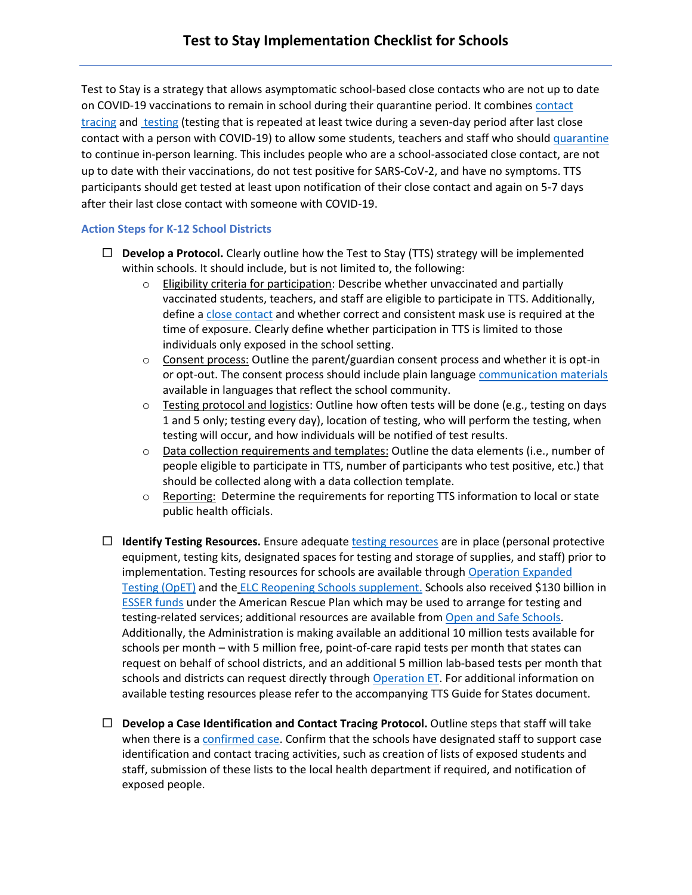Test to Stay is a strategy that allows asymptomatic school-based close contacts who are not up to date on COVID-19 vaccinations to remain in school during their quarantine period. It combines contact [tracing](https://www.cdc.gov/coronavirus/2019-ncov/community/schools-childcare/K-12-contact-tracing.html) an[d testing](https://www.cdc.gov/coronavirus/2019-ncov/testing/diagnostic-testing.html) (testing that is repeated at least twice during a seven-day period after last close contact with a person with COVID-19) to allow some students, teachers and staff who shoul[d quarantine](https://www.cdc.gov/coronavirus/2019-ncov/community/schools-childcare/k-12-contact-tracing/about-quarantine.html) to continue in-person learning. This includes people who are a school-associated close contact, are not up to date with their vaccinations, do not test positive for SARS-CoV-2, and have no symptoms. TTS participants should get tested at least upon notification of their close contact and again on 5-7 days after their last close contact with someone with COVID-19.

## **Action Steps for K-12 School Districts**

- **Develop a Protocol.** Clearly outline how the Test to Stay (TTS) strategy will be implemented within schools. It should include, but is not limited to, the following:
	- $\circ$  Eligibility criteria for participation: Describe whether unvaccinated and partially vaccinated students, teachers, and staff are eligible to participate in TTS. Additionally, define [a close contact](https://www.cdc.gov/coronavirus/2019-ncov/php/contact-tracing/contact-tracing-plan/appendix.html#contact) and whether correct and consistent mask use is required at the time of exposure. Clearly define whether participation in TTS is limited to those individuals only exposed in the school setting.
	- $\circ$  Consent process: Outline the parent/guardian consent process and whether it is opt-in or opt-out. The consent process should include plain languag[e communication materials](https://www.cdc.gov/coronavirus/2019-ncov/community/schools-childcare/school-testing.html?CDC_AA_refVal=https%3A%2F%2Fwww.cdc.gov%2Fcovid19-school-testing%2Findex.html) available in languages that reflect the school community.
	- $\circ$  Testing protocol and logistics: Outline how often tests will be done (e.g., testing on days 1 and 5 only; testing every day), location of testing, who will perform the testing, when testing will occur, and how individuals will be notified of test results.
	- $\circ$  Data collection requirements and templates: Outline the data elements (i.e., number of people eligible to participate in TTS, number of participants who test positive, etc.) that should be collected along with a data collection template.
	- $\circ$  Reporting: Determine the requirements for reporting TTS information to local or state public health officials.
- **Identify Testing Resources.** Ensure adequate [testing resources](https://www.cdc.gov/coronavirus/2019-ncov/community/schools-childcare/k-12-guidance.html#aped2) are in place (personal protective equipment, testing kits, designated spaces for testing and storage of supplies, and staff) prior to implementation. Testing resources for schools are available throug[h Operation Expanded](https://www.cdc.gov/coronavirus/2019-ncov/testing/operation-expanded-testing.html)  [Testing](https://www.cdc.gov/coronavirus/2019-ncov/testing/operation-expanded-testing.html) (OpET) and the [ELC Reopening Schools supplement.](https://www.cdc.gov/ncezid/dpei/elc/covid-response/index.html) Schools also received \$130 billion in **[ESSER funds](https://oese.ed.gov/offices/education-stabilization-fund/elementary-secondary-school-emergency-relief-fund/) under the American Rescue Plan which may be used to arrange for testing and** testing-related services; additional resources are available from [Open and Safe Schools.](https://www.openandsafeschools.org/) Additionally, the Administration is making available an additional 10 million tests available for schools per month – with 5 million free, point-of-care rapid tests per month that states can request on behalf of school districts, and an additional 5 million lab-based tests per month that schools and districts can request directly through [Operation ET.](https://www.cdc.gov/coronavirus/2019-ncov/testing/operation-expanded-testing.html) For additional information on available testing resources please refer to the accompanying TTS Guide for States document.
- **Develop a Case Identification and Contact Tracing Protocol.** Outline steps that staff will take when there is a [confirmed case.](https://www.cdc.gov/coronavirus/2019-ncov/daily-life-coping/K-12-infographic.html) Confirm that the schools have designated staff to support case identification and contact tracing activities, such as creation of lists of exposed students and staff, submission of these lists to the local health department if required, and notification of exposed people.